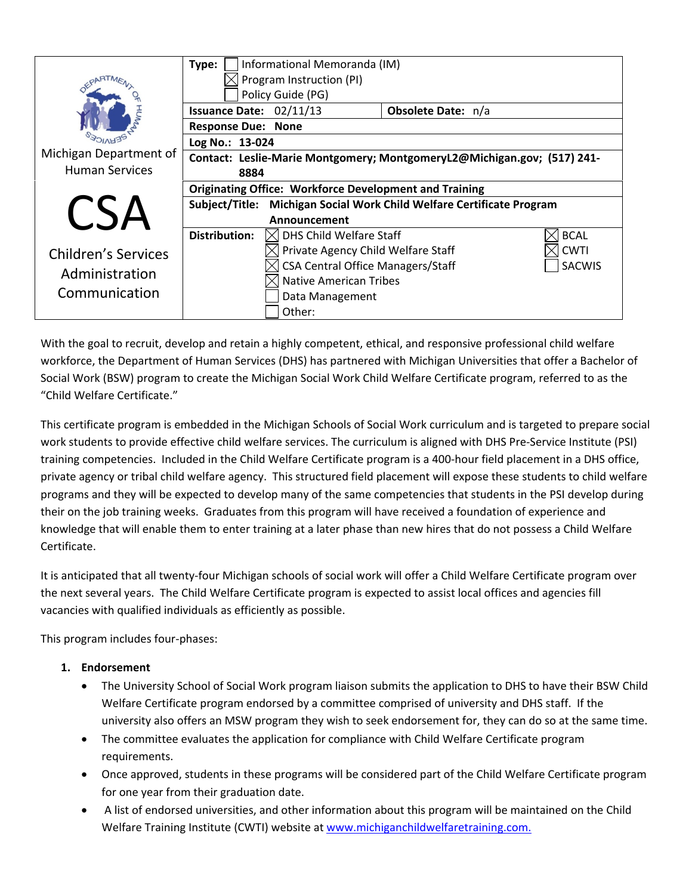|                            | Informational Memoranda (IM)<br>Type:                                    |                                          |  |               |
|----------------------------|--------------------------------------------------------------------------|------------------------------------------|--|---------------|
|                            | Program Instruction (PI)                                                 |                                          |  |               |
|                            | Policy Guide (PG)                                                        |                                          |  |               |
|                            | Issuance Date: 02/11/13<br>Obsolete Date: n/a                            |                                          |  |               |
|                            | <b>Response Due: None</b>                                                |                                          |  |               |
|                            | Log No.: 13-024                                                          |                                          |  |               |
| Michigan Department of     | Contact: Leslie-Marie Montgomery; MontgomeryL2@Michigan.gov; (517) 241-  |                                          |  |               |
| <b>Human Services</b>      | 8884                                                                     |                                          |  |               |
|                            | <b>Originating Office: Workforce Development and Training</b>            |                                          |  |               |
| $\sim$ $\Lambda$           | Michigan Social Work Child Welfare Certificate Program<br>Subject/Title: |                                          |  |               |
|                            |                                                                          | Announcement                             |  |               |
|                            | <b>Distribution:</b>                                                     | $\times$ DHS Child Welfare Staff         |  | <b>BCAL</b>   |
| <b>Children's Services</b> |                                                                          | Private Agency Child Welfare Staff       |  | <b>CWTI</b>   |
| Administration             |                                                                          | <b>CSA Central Office Managers/Staff</b> |  | <b>SACWIS</b> |
|                            |                                                                          | <b>Native American Tribes</b>            |  |               |
| Communication              |                                                                          | Data Management                          |  |               |
|                            |                                                                          | Other:                                   |  |               |

With the goal to recruit, develop and retain a highly competent, ethical, and responsive professional child welfare workforce, the Department of Human Services (DHS) has partnered with Michigan Universities that offer a Bachelor of Social Work (BSW) program to create the Michigan Social Work Child Welfare Certificate program, referred to as the "Child Welfare Certificate."

This certificate program is embedded in the Michigan Schools of Social Work curriculum and is targeted to prepare social work students to provide effective child welfare services. The curriculum is aligned with DHS Pre‐Service Institute (PSI) training competencies. Included in the Child Welfare Certificate program is a 400‐hour field placement in a DHS office, private agency or tribal child welfare agency. This structured field placement will expose these students to child welfare programs and they will be expected to develop many of the same competencies that students in the PSI develop during their on the job training weeks. Graduates from this program will have received a foundation of experience and knowledge that will enable them to enter training at a later phase than new hires that do not possess a Child Welfare Certificate.

It is anticipated that all twenty‐four Michigan schools of social work will offer a Child Welfare Certificate program over the next several years. The Child Welfare Certificate program is expected to assist local offices and agencies fill vacancies with qualified individuals as efficiently as possible.

This program includes four‐phases:

## **1. Endorsement**

- The University School of Social Work program liaison submits the application to DHS to have their BSW Child Welfare Certificate program endorsed by a committee comprised of university and DHS staff. If the university also offers an MSW program they wish to seek endorsement for, they can do so at the same time.
- The committee evaluates the application for compliance with Child Welfare Certificate program requirements.
- Once approved, students in these programs will be considered part of the Child Welfare Certificate program for one year from their graduation date.
- A list of endorsed universities, and other information about this program will be maintained on the Child Welfare Training Institute (CWTI) website at www.michiganchildwelfaretraining.com.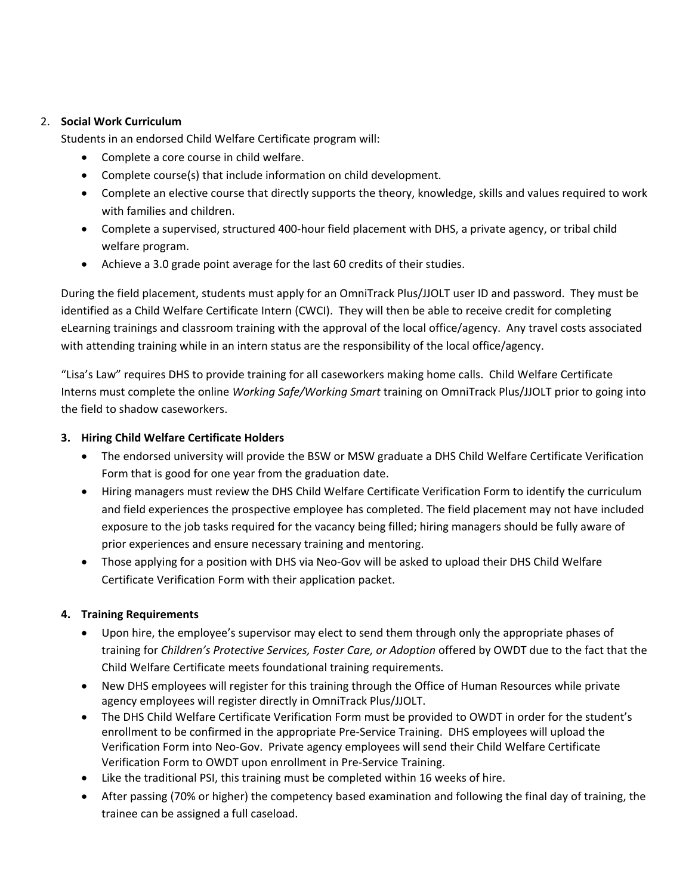## 2. **Social Work Curriculum**

Students in an endorsed Child Welfare Certificate program will:

- Complete a core course in child welfare.
- Complete course(s) that include information on child development.
- Complete an elective course that directly supports the theory, knowledge, skills and values required to work with families and children.
- Complete a supervised, structured 400‐hour field placement with DHS, a private agency, or tribal child welfare program.
- Achieve a 3.0 grade point average for the last 60 credits of their studies.

During the field placement, students must apply for an OmniTrack Plus/JJOLT user ID and password. They must be identified as a Child Welfare Certificate Intern (CWCI). They will then be able to receive credit for completing eLearning trainings and classroom training with the approval of the local office/agency. Any travel costs associated with attending training while in an intern status are the responsibility of the local office/agency.

"Lisa's Law" requires DHS to provide training for all caseworkers making home calls. Child Welfare Certificate Interns must complete the online *Working Safe/Working Smart* training on OmniTrack Plus/JJOLT prior to going into the field to shadow caseworkers.

## **3. Hiring Child Welfare Certificate Holders**

- The endorsed university will provide the BSW or MSW graduate a DHS Child Welfare Certificate Verification Form that is good for one year from the graduation date.
- Hiring managers must review the DHS Child Welfare Certificate Verification Form to identify the curriculum and field experiences the prospective employee has completed. The field placement may not have included exposure to the job tasks required for the vacancy being filled; hiring managers should be fully aware of prior experiences and ensure necessary training and mentoring.
- Those applying for a position with DHS via Neo-Gov will be asked to upload their DHS Child Welfare Certificate Verification Form with their application packet.

## **4. Training Requirements**

- Upon hire, the employee's supervisor may elect to send them through only the appropriate phases of training for *Children's Protective Services, Foster Care, or Adoption* offered by OWDT due to the fact that the Child Welfare Certificate meets foundational training requirements.
- New DHS employees will register for this training through the Office of Human Resources while private agency employees will register directly in OmniTrack Plus/JJOLT.
- The DHS Child Welfare Certificate Verification Form must be provided to OWDT in order for the student's enrollment to be confirmed in the appropriate Pre‐Service Training. DHS employees will upload the Verification Form into Neo‐Gov. Private agency employees will send their Child Welfare Certificate Verification Form to OWDT upon enrollment in Pre‐Service Training.
- Like the traditional PSI, this training must be completed within 16 weeks of hire.
- After passing (70% or higher) the competency based examination and following the final day of training, the trainee can be assigned a full caseload.